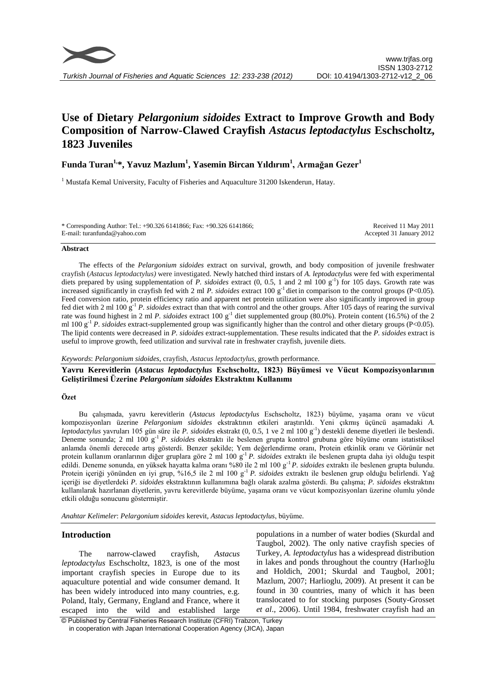

# **Use of Dietary** *Pelargonium sidoides* **Extract to Improve Growth and Body Composition of Narrow-Clawed Crayfish** *Astacus leptodactylus* **Eschscholtz, 1823 Juveniles**

# **Funda Turan1, \*, Yavuz Mazlum<sup>1</sup> , Yasemin Bircan Yıldırım 1 , Armağan Gezer<sup>1</sup>**

<sup>1</sup> Mustafa Kemal University, Faculty of Fisheries and Aquaculture 31200 Iskenderun, Hatay.

| * Corresponding Author: Tel.: +90.326 6141866; Fax: +90.326 6141866; | Received 11 May 2011     |
|----------------------------------------------------------------------|--------------------------|
| E-mail: turanfunda@yahoo.com                                         | Accepted 31 January 2012 |

#### **Abstract**

The effects of the *Pelargonium sidoides* extract on survival, growth, and body composition of juvenile freshwater crayfish (*Astacus leptodactylus)* were investigated. Newly hatched third instars of *A. leptodactylus* were fed with experimental diets prepared by using supplementation of *P. sidoides* extract (0, 0.5, 1 and 2 ml 100 g<sup>-1</sup>) for 105 days. Growth rate was increased significantly in crayfish fed with 2 ml *P. sidoides* extract 100 g<sup>-1</sup> diet in comparison to the control groups (P<0.05). Feed conversion ratio, protein efficiency ratio and apparent net protein utilization were also significantly improved in group fed diet with 2 ml 100 g-1 *P. sidoides* extract than that with control and the other groups. After 105 days of rearing the survival rate was found highest in 2 ml *P. sidoides* extract 100 g<sup>-1</sup> diet supplemented group (80.0%). Protein content (16.5%) of the 2 ml 100 g<sup>-1</sup> *P. sidoides* extract-supplemented group was significantly higher than the control and other dietary groups (P<0.05). The lipid contents were decreased in *P. sidoides* extract-supplementation. These results indicated that the *P. sidoides* extract is useful to improve growth, feed utilization and survival rate in freshwater crayfish, juvenile diets.

*Keywords*: *Pelargonium sidoides*, crayfish, *Astacus leptodactylus*, growth performance.

**Yavru Kerevitlerin (***Astacus leptodactylus* **Eschscholtz, 1823) Büyümesi ve Vücut Kompozisyonlarının Geliştirilmesi Üzerine** *Pelargonium sidoides* **Ekstraktını Kullanımı**

## **Özet**

Bu çalışmada, yavru kerevitlerin (*Astacus leptodactylus* Eschscholtz, 1823) büyüme, yaşama oranı ve vücut kompozisyonları üzerine *Pelargonium sidoides* ekstraktının etkileri araştırıldı. Yeni çıkmış üçüncü aşamadaki *A. leptodactylus* yavruları 105 gün süre ile *P. sidoides* ekstrakt (0, 0.5, 1 ve 2 ml 100 g-1 ) destekli deneme diyetleri ile beslendi. Deneme sonunda; 2 ml 100 g-1 *P. sidoides* ekstraktı ile beslenen grupta kontrol grubuna göre büyüme oranı istatistiksel anlamda önemli derecede artış gösterdi. Benzer şekilde; Yem değerlendirme oranı, Protein etkinlik oranı ve Görünür net protein kullanım oranlarının diğer gruplara göre 2 ml 100 g-1 *P. sidoides* extraktı ile beslenen grupta daha iyi olduğu tespit edildi. Deneme sonunda, en yüksek hayatta kalma oranı %80 ile 2 ml 100 g-1 *P. sidoides* extraktı ile beslenen grupta bulundu. Protein içeriği yönünden en iyi grup, %16,5 ile 2 ml 100 g-1 *P. sidoides* extraktı ile beslenen grup olduğu belirlendi. Yağ içeriği ise diyetlerdeki *P. sidoides* ekstraktının kullanımına bağlı olarak azalma gösterdi. Bu çalışma; *P. sidoides* ekstraktını kullanılarak hazırlanan diyetlerin, yavru kerevitlerde büyüme, yaşama oranı ve vücut kompozisyonları üzerine olumlu yönde etkili olduğu sonucunu göstermiştir.

*Anahtar Kelimeler*: *Pelargonium sidoides* kerevit*, Astacus leptodactylus*, büyüme.

# **Introduction**

The narrow-clawed crayfish, *Astacus leptodactylus* Eschscholtz, 1823, is one of the most important crayfish species in Europe due to its aquaculture potential and wide consumer demand. It has been widely introduced into many countries, e.g. Poland, Italy, Germany, England and France, where it escaped into the wild and established large populations in a number of water bodies (Skurdal and Taugbol, 2002). The only native crayfish species of Turkey, *A. leptodactylus* has a widespread distribution in lakes and ponds throughout the country (Harlıoğlu and Holdich, 2001; Skurdal and Taugbol, 2001; Mazlum, 2007; Harlioglu, 2009). At present it can be found in 30 countries, many of which it has been translocated to for stocking purposes (Souty-Grosset *et al*., 2006). Until 1984, freshwater crayfish had an

© Published by Central Fisheries Research Institute (CFRI) Trabzon, Turkey in cooperation with Japan International Cooperation Agency (JICA), Japan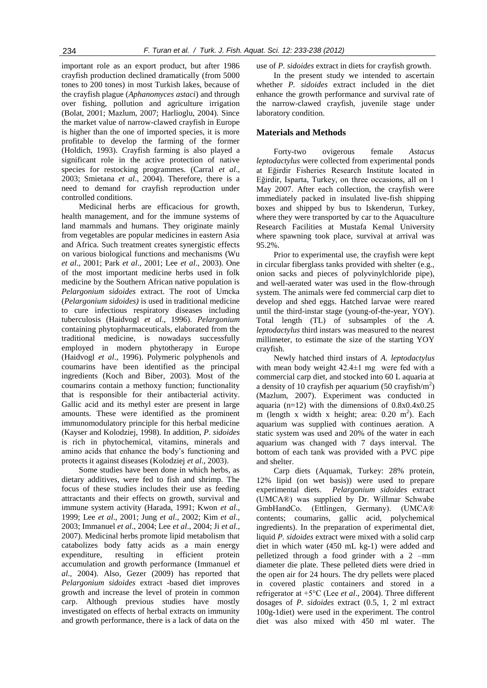important role as an export product, but after 1986 crayfish production declined dramatically (from 5000 tones to 200 tones) in most Turkish lakes, because of the crayfish plague (*Aphanomyces astaci*) and through over fishing, pollution and agriculture irrigation (Bolat, 2001; Mazlum, 2007; Harlioglu, 2004). Since the market value of narrow-clawed crayfish in Europe is higher than the one of imported species, it is more profitable to develop the farming of the former (Holdich, 1993). Crayfish farming is also played a significant role in the active protection of native species for restocking programmes. (Carral *et al*., 2003; Smietana *et al*., 2004). Therefore, there is a need to demand for crayfish reproduction under controlled conditions.

Medicinal herbs are efficacious for growth, health management, and for the immune systems of land mammals and humans. They originate mainly from vegetables are popular medicines in eastern Asia and Africa. Such treatment creates synergistic effects on various biological functions and mechanisms (Wu *et al*., 2001; Park *et al*., 2001; Lee *et al*., 2003). One of the most important medicine herbs used in folk medicine by the Southern African native population is *Pelargonium sidoides* extract. The root of Umcka (*Pelargonium sidoides)* is used in traditional medicine to cure infectious respiratory diseases including tuberculosis (Haidvogl *et al*., 1996). *Pelargonium*  containing phytopharmaceuticals, elaborated from the traditional medicine, is nowadays successfully employed in modern phytotherapy in Europe (Haidvogl *et al*., 1996). Polymeric polyphenols and coumarins have been identified as the principal ingredients (Koch and Biber, 2003). Most of the coumarins contain a methoxy function; functionality that is responsible for their antibacterial activity. Gallic acid and its methyl ester are present in large amounts. These were identified as the prominent immunomodulatory principle for this herbal medicine (Kayser and Kolodziej, 1998). In addition, *P. sidoides* is rich in phytochemical, vitamins, minerals and amino acids that enhance the body's functioning and protects it against diseases (Kolodziej *et al*., 2003).

Some studies have been done in which herbs, as dietary additives, were fed to fish and shrimp. The focus of these studies includes their use as feeding attractants and their effects on growth, survival and immune system activity (Harada, 1991; Kwon *et al*., 1999; Lee *et al*., 2001; Jung *et al*., 2002; Kim *et al*., 2003; Immanuel *et al*., 2004; Lee *et al*., 2004; Ji *et al*., 2007). Medicinal herbs promote lipid metabolism that catabolizes body fatty acids as a main energy expenditure, resulting in efficient protein accumulation and growth performance (Immanuel *et al*., 2004). Also, Gezer (2009) has reported that *Pelargonium sidoides* extract -based diet improves growth and increase the level of protein in common carp. Although previous studies have mostly investigated on effects of herbal extracts on immunity and growth performance, there is a lack of data on the use of *P. sidoides* extract in diets for crayfish growth.

In the present study we intended to ascertain whether *P. sidoides* extract included in the diet enhance the growth performance and survival rate of the narrow-clawed crayfish, juvenile stage under laboratory condition.

## **Materials and Methods**

Forty-two ovigerous female *Astacus leptodactylus* were collected from experimental ponds at Eğirdir Fisheries Research Institute located in Eğirdir, Isparta, Turkey, on three occasions, all on 1 May 2007. After each collection, the crayfish were immediately packed in insulated live-fish shipping boxes and shipped by bus to Iskenderun, Turkey, where they were transported by car to the Aquaculture Research Facilities at Mustafa Kemal University where spawning took place, survival at arrival was 95.2%.

Prior to experimental use, the crayfish were kept in circular fiberglass tanks provided with shelter (e.g., onion sacks and pieces of polyvinylchloride pipe), and well-aerated water was used in the flow-through system. The animals were fed commercial carp diet to develop and shed eggs. Hatched larvae were reared until the third-instar stage (young-of-the-year, YOY). Total length (TL) of subsamples of the *A. leptodactylus* third instars was measured to the nearest millimeter, to estimate the size of the starting YOY crayfish.

Newly hatched third instars of *A. leptodactylus* with mean body weight  $42.4 \pm 1$  mg were fed with a commercial carp diet, and stocked into 60 L aquaria at a density of 10 crayfish per aquarium  $(50 \text{ crayfish/m}^2)$ (Mazlum, 2007). Experiment was conducted in aquaria (n=12) with the dimensions of 0.8x0.4x0.25 m (length x width x height; area:  $0.20 \text{ m}^2$ ). Each aquarium was supplied with continues aeration. A static system was used and 20% of the water in each aquarium was changed with 7 days interval. The bottom of each tank was provided with a PVC pipe and shelter.

Carp diets (Aquamak, Turkey: 28% protein, 12% lipid (on wet basis)) were used to prepare experimental diets. *Pelargonium sidoides* extract (UMCA®) was supplied by Dr. Willmar Schwabe GmbHandCo. (Ettlingen, Germany). (UMCA® contents; coumarins, gallic acid, polychemical ingredients). In the preparation of experimental diet, liquid *P. sidoides* extract were mixed with a solid carp diet in which water (450 mL kg-1) were added and pelletized through a food grinder with a 2 –mm diameter die plate. These pelleted diets were dried in the open air for 24 hours. The dry pellets were placed in covered plastic containers and stored in a refrigerator at +5°C (Lee *et al*., 2004). Three different dosages of *P. sidoides* extract (0.5, 1, 2 ml extract 100g-1diet) were used in the experiment. The control diet was also mixed with 450 ml water. The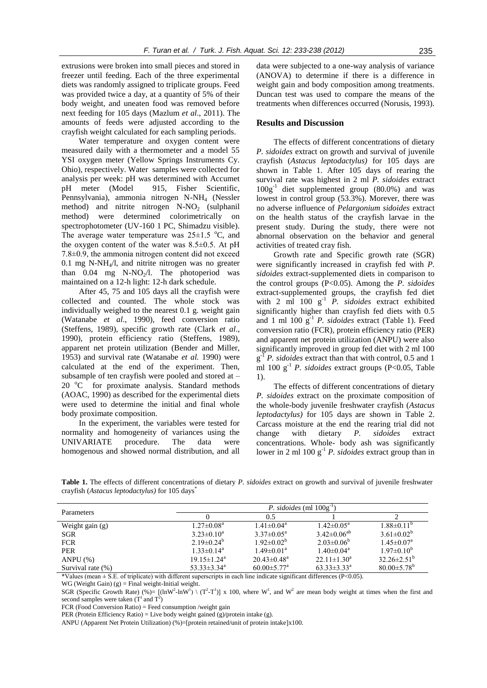extrusions were broken into small pieces and stored in freezer until feeding. Each of the three experimental diets was randomly assigned to triplicate groups. Feed was provided twice a day, at a quantity of 5% of their body weight, and uneaten food was removed before next feeding for 105 days (Mazlum *et al*., 2011). The amounts of feeds were adjusted according to the crayfish weight calculated for each sampling periods.

Water temperature and oxygen content were measured daily with a thermometer and a model 55 YSI oxygen meter (Yellow Springs Instruments Cy. Ohio), respectively. Water samples were collected for analysis per week: pH was determined with Accumet pH meter (Model 915, Fisher Scientific, Pennsylvania), ammonia nitrogen N-NH<sup>4</sup> (Nessler method) and nitrite nitrogen  $N-NO<sub>2</sub>$  (sulphanil method) were determined colorimetrically on spectrophotometer (UV-160 1 PC, Shimadzu visible). The average water temperature was  $25\pm1.5$  °C, and the oxygen content of the water was 8.5±0.5. At pH 7.8±0.9, the ammonia nitrogen content did not exceed 0.1 mg N-NH $_4$ /l, and nitrite nitrogen was no greater than  $0.04$  mg  $N-NO<sub>2</sub>/l$ . The photoperiod was maintained on a 12-h light: 12-h dark schedule.

After 45, 75 and 105 days all the crayfish were collected and counted. The whole stock was individually weighed to the nearest 0.1 g. weight gain (Watanabe *et al*., 1990), feed conversion ratio (Steffens, 1989), specific growth rate (Clark *et al*., 1990), protein efficiency ratio (Steffens, 1989), apparent net protein utilization (Bender and Miller, 1953) and survival rate (Watanabe *et al.* 1990) were calculated at the end of the experiment. Then, subsample of ten crayfish were pooled and stored at – 20 °C for proximate analysis. Standard methods (AOAC, 1990) as described for the experimental diets were used to determine the initial and final whole body proximate composition.

In the experiment, the variables were tested for normality and homogeneity of variances using the UNIVARIATE procedure. The data were homogenous and showed normal distribution, and all data were subjected to a one-way analysis of variance (ANOVA) to determine if there is a difference in weight gain and body composition among treatments. Duncan test was used to compare the means of the treatments when differences occurred (Norusis, 1993).

#### **Results and Discussion**

The effects of different concentrations of dietary *P. sidoides* extract on growth and survival of juvenile crayfish (*Astacus leptodactylus)* for 105 days are shown in Table 1. After 105 days of rearing the survival rate was highest in 2 ml *P. sidoides* extract 100g-1 diet supplemented group (80.0%) and was lowest in control group (53.3%). Morever, there was no adverse influence of *Pelargonium sidoides* extract on the health status of the crayfish larvae in the present study. During the study, there were not abnornal observation on the behavior and general activities of treated cray fish.

Growth rate and Specific growth rate (SGR) were significantly increased in crayfish fed with *P. sidoides* extract-supplemented diets in comparison to the control groups (P<0.05). Among the *P. sidoides* extract-supplemented groups, the crayfish fed diet with 2 ml 100 g<sup>-1</sup> *P. sidoides* extract exhibited significantly higher than crayfish fed diets with 0.5 and 1 ml 100 g-1 *P. sidoides* extract (Table 1). Feed conversion ratio (FCR), protein efficiency ratio (PER) and apparent net protein utilization (ANPU) were also significantly improved in group fed diet with 2 ml 100 g<sup>-T</sup> *P. sidoides* extract than that with control, 0.5 and 1 ml 100  $g^{-1}$  *P. sidoides* extract groups (P<0.05, Table 1).

The effects of different concentrations of dietary *P. sidoides* extract on the proximate composition of the whole-body juvenile freshwater crayfish (*Astacus leptodactylus)* for 105 days are shown in Table 2. Carcass moisture at the end the rearing trial did not change with dietary *P. sidoides* extract concentrations. Whole- body ash was significantly lower in 2 ml 100 g-1 *P. sidoides* extract group than in

**Table 1.** The effects of different concentrations of dietary *P. sidoides* extract on growth and survival of juvenile freshwater crayfish (*Astacus leptodactylus)* for 105 days\*

| Parameters        |                               | P. sidoides (ml $100g^{-1}$   |                            |                            |  |
|-------------------|-------------------------------|-------------------------------|----------------------------|----------------------------|--|
|                   |                               | 0.5                           |                            |                            |  |
| Weight gain (g)   | $1.27 \pm 0.08^a$             | $1.41 \pm 0.04$ <sup>a</sup>  | $1.42 \pm 0.05^{\text{a}}$ | $1.88 \pm 0.11^{\circ}$    |  |
| <b>SGR</b>        | $3.23 \pm 0.10^a$             | $3.37 \pm 0.05^{\text{a}}$    | $3.42 \pm 0.06^{ab}$       | $3.61 \pm 0.02^b$          |  |
| <b>FCR</b>        | 2.19 $\pm$ 0.24 <sup>b</sup>  | $1.92 \pm 0.02^b$             | $2.03 \pm 0.06^b$          | $1.45 \pm 0.07^{\text{a}}$ |  |
| <b>PER</b>        | $1.33 \pm 0.14^a$             | $1.49 \pm 0.01^{\text{a}}$    | $1.40 \pm 0.04^{\text{a}}$ | $1.97 \pm 0.10^b$          |  |
| ANPU $(%)$        | $19.15 \pm 1.24^{\text{a}}$   | $20.43 \pm 0.48$ <sup>a</sup> | $22.11 \pm 1.30^a$         | $32.26 \pm 2.51^{\circ}$   |  |
| Survival rate (%) | $53.33 \pm 3.34$ <sup>a</sup> | $60.00 \pm 5.77$ <sup>a</sup> | $63.33 \pm 3.33^a$         | $80.00 \pm 5.78^{\rm b}$   |  |

\*Values (mean  $\pm$  S.E. of triplicate) with different superscripts in each line indicate significant differences (P<0.05).

WG (Weight Gain)  $(g)$  = Final weight-Initial weight.

SGR (Specific Growth Rate) (%)=  $[(\ln W^2 - \ln W^1) \ (T^2 - T^1)] x 100$ , where W<sup>1</sup>, and W<sup>2</sup> are mean body weight at times when the first and second samples were taken  $(T^1 \text{ and } T^2)$ 

FCR (Food Conversion Ratio) = Feed consumption /weight gain

PER (Protein Efficiency Ratio) = Live body weight gained  $(g)/$ protein intake (g).

ANPU (Apparent Net Protein Utilization) (%)=[protein retained/unit of protein intake]x100.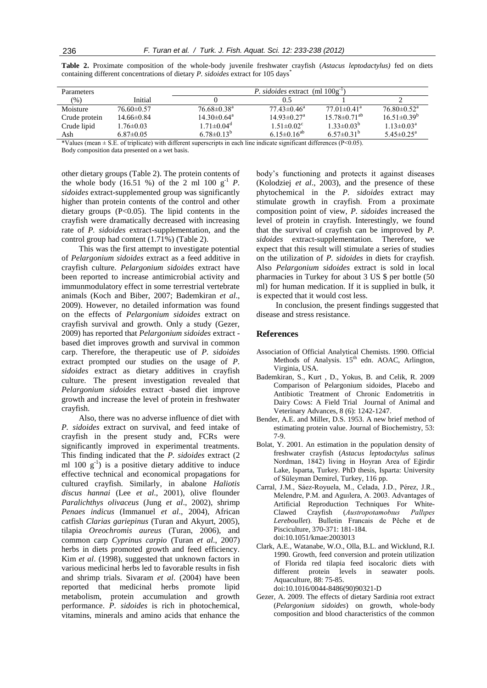| <b>Parameters</b> |                 | <i>P. sidoides</i> extract (ml $100g^{-1}$ ) |                               |                                |                               |
|-------------------|-----------------|----------------------------------------------|-------------------------------|--------------------------------|-------------------------------|
| $(\% )$           | Initial         |                                              | 0.5                           |                                |                               |
| Moisture          | $76.60\pm0.57$  | $76.68 \pm 0.38$ <sup>a</sup>                | $77.43\pm 0.46^{\rm a}$       | $77.01 \pm 0.41$ <sup>a</sup>  | $76.80 \pm 0.52$ <sup>a</sup> |
| Crude protein     | $14.66\pm0.84$  | $14.30\pm0.64^{\text{a}}$                    | $14.93 \pm 0.27$ <sup>a</sup> | $15.78 \pm 0.71$ <sup>ab</sup> | $16.51\pm0.39^{b}$            |
| Crude lipid       | $1.76 \pm 0.03$ | $1.71 \pm 0.04$ <sup>d</sup>                 | $1.51 \pm 0.02$ <sup>c</sup>  | $1.33 \pm 0.03^b$              | $1.13 \pm 0.03^a$             |
| Ash               | $6.87\pm0.05$   | $6.78\pm0.13^{b}$                            | 6.15 $\pm$ 0.16 <sup>ab</sup> | 6.57 $\pm$ 0.31 <sup>b</sup>   | 5.45 $\pm$ 0.25 <sup>a</sup>  |

**Table 2.** Proximate composition of the whole-body juvenile freshwater crayfish (*Astacus leptodactylus)* fed on diets containing different concentrations of dietary *P. sidoides* extract for 105 days<sup>\*</sup>

\*Values (mean ± S.E. of triplicate) with different superscripts in each line indicate significant differences (P<0.05).

Body composition data presented on a wet basis.

other dietary groups (Table 2). The protein contents of the whole body  $(16.51 \%)$  of the 2 ml 100 g<sup>-1</sup> *P*. *sidoides* extract-supplemented group was significantly higher than protein contents of the control and other dietary groups  $(P<0.05)$ . The lipid contents in the crayfish were dramatically decreased with increasing rate of *P. sidoides* extract-supplementation, and the control group had content (1.71%) (Table 2).

This was the first attempt to investigate potential of *Pelargonium sidoides* extract as a feed additive in crayfish culture. *Pelargonium sidoides* extract have been reported to increase antimicrobial activity and immunmodulatory effect in some terrestrial vertebrate animals (Koch and Biber, 2007; Bademkiran *et al*., 2009). However, no detailed information was found on the effects of *Pelargonium sidoides* extract on crayfish survival and growth. Only a study (Gezer, 2009) has reported that *Pelargonium sidoides* extract based diet improves growth and survival in common carp. Therefore, the therapeutic use of *P. sidoides* extract prompted our studies on the usage of *P. sidoides* extract as dietary additives in crayfish culture. The present investigation revealed that *Pelargonium sidoides* extract -based diet improve growth and increase the level of protein in freshwater crayfish.

Also, there was no adverse influence of diet with *P. sidoides* extract on survival, and feed intake of crayfish in the present study and, FCRs were significantly improved in experimental treatments. This finding indicated that the *P. sidoides* extract (2 ml 100  $g^{-1}$ ) is a positive dietary additive to induce effective technical and economical propagations for cultured crayfish. Similarly, in abalone *Haliotis discus hannai* (Lee *et al*., 2001), olive flounder *Paralichthys olivaceus* (Jung *et al*., 2002), shrimp *Penaes indicus* (Immanuel *et al*., 2004)*,* African catfish *Clarias gariepinus* (Turan and Akyurt, 2005), tilapia *Oreochromis aureus* (Turan, 2006), and common carp *Cyprinus carpio* (Turan *et al*., 2007) herbs in diets promoted growth and feed efficiency. Kim *et al*. (1998), suggested that unknown factors in various medicinal herbs led to favorable results in fish and shrimp trials. Sivaram *et al*. (2004) have been reported that medicinal herbs promote lipid metabolism, protein accumulation and growth performance. *P. sidoides* is rich in photochemical, vitamins, minerals and amino acids that enhance the

body's functioning and protects it against diseases (Kolodziej *et al*., 2003), and the presence of these phytochemical in the *P. sidoides* extract may stimulate growth in crayfish. From a proximate composition point of view, *P. sidoides* increased the level of protein in crayfish. Interestingly, we found that the survival of crayfish can be improved by *P. sidoides* extract-supplementation. Therefore, we expect that this result will stimulate a series of studies on the utilization of *P. sidoides* in diets for crayfish*.* Also *Pelargonium sidoides* extract is sold in local pharmacies in Turkey for about 3 US \$ per bottle (50 ml) for human medication. If it is supplied in bulk, it is expected that it would cost less.

In conclusion, the present findings suggested that disease and stress resistance.

#### **References**

- Association of Official Analytical Chemists. 1990. Official Methods of Analysis.  $15<sup>th</sup>$  edn. AOAC, Arlington, Virginia, USA.
- [Bademkiran,](http://scialert.net/asci/author.php?author=S.%20Bademkiran&last=) S., [Kurt ,](http://scialert.net/asci/author.php?author=D.%20Kurt&last=) D., [Yokus, B. a](http://scialert.net/asci/author.php?author=B.%20Yokus&last=)nd [Celik,](http://scialert.net/asci/author.php?author=R.%20Celik&last=) R. 2009 Comparison of Pelargonium sidoides, Placebo and Antibiotic Treatment of Chronic Endometritis in Dairy Cows: A Field Trial Journal of Animal and Veterinary Advances, 8 (6): 1242-1247.
- Bender, A.E. and Miller, D.S. 1953. A new brief method of estimating protein value. Journal of Biochemistry, 53: 7-9.
- Bolat, Y. 2001. An estimation in the population density of freshwater crayfish (*Astacus leptodactylus salinus*  Nordman, 1842) living in Hoyran Area of Eğirdir Lake, Isparta, Turkey. PhD thesis, Isparta: University of Süleyman Demirel, Turkey, 116 pp.
- Carral, J.M., Sáez-Royuela, M., Celada, J.D., Pérez, J.R., Melendre, P.M. and Aguılera, A. 2003. Advantages of Artificial Reproduction Techniques For White-Clawed Crayfish (*Austropotamobıus Pallıpes Lereboullet*). Bulletin Francais de Pêche et de Pisciculture, 370-371: 181-184. doi:10.1051/kmae:2003013
- Clark, A.E., Watanabe, W.O., Olla, B.L. and Wicklund, R.I. 1990. Growth, feed conversion and protein utilization of Florida red tilapia feed isocaloric diets with different protein levels in seawater pools. Aquaculture, 88: 75-85.
	- doi:10.1016/0044-8486(90)90321-D
- Gezer, A. 2009. The effects of dietary Sardinia root extract (*Pelargonium sidoides*) on growth, whole-body composition and blood characteristics of the common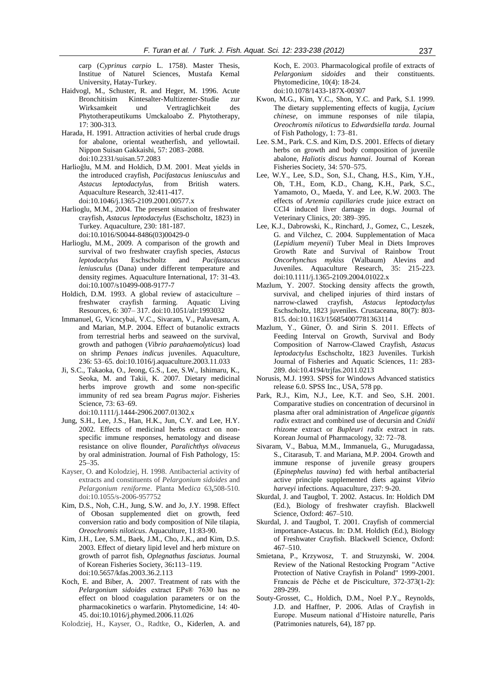carp (*Cyprinus carpio* L. 1758). Master Thesis, Institue of Naturel Sciences, Mustafa Kemal University, Hatay-Turkey.

- Haidvogl, M., Schuster, R. and Heger, M. 1996. Acute Bronchitisim Kintesalter-Multizenter-Studie zur Wirksamkeit und Vertraglichkeit des Phytotherapeutikums Umckaloabo Z. Phytotherapy, 17: 300-313.
- Harada, H. 1991. Attraction activities of herbal crude drugs for abalone, oriental weatherfish, and yellowtail. Nippon Suisan Gakkaishi, 57: 2083–2088. doi:10.2331/suisan.57.2083
- Harlioğlu, M.M. and Holdich, D.M. 2001. Meat yields in the introduced crayfish, *Pacifastacus leniusculus* and *Astacus leptodactylu*s, from British waters. Aquaculture Research, 32:411-417. doi:10.1046/j.1365-2109.2001.00577.x
- Harlioglu, M.M., 2004. The present situation of freshwater crayfish, *Astacus leptodactylus* (Eschscholtz, 1823) in Turkey. Aquaculture, 230: 181-187. doi:10.1016/S0044-8486(03)00429-0
- Harlioglu, M.M., 2009. A comparison of the growth and survival of two freshwater crayfish species, *Astacus leptodactylus* Eschscholtz and *Pacifastacus leniusculus* (Dana) under different temperature and density regimes. Aquaculture International, 17: 31-43. doi:10.1007/s10499-008-9177-7
- Holdich, D.M. 1993. A global review of astaciculture freshwater crayfish farming. Aquatic Living Resources, 6: 307– 317. doi:10.1051/alr:1993032
- Immanuel, G, Vicncybai, V.C., Sivaram, V., Palavesam, A. and Marian, M.P. 2004. Effect of butanolic extracts from terrestrial herbs and seaweed on the survival, growth and pathogen (*Vibrio parahaemolyticus*) load on shrimp *Penaes indicus* juveniles. Aquaculture, 236: 53–65. doi:10.1016/j.aquaculture.2003.11.033
- Ji, S.C., Takaoka, O., Jeong, G.S., Lee, S.W., Ishimaru, K., Seoka, M. and Takii, K. 2007. Dietary medicinal herbs improve growth and some non-specific immunity of red sea bream *Pagrus major*. Fisheries Science, 73: 63–69.
	- doi:10.1111/j.1444-2906.2007.01302.x
- Jung, S.H., Lee, J.S., Han, H.K., Jun, C.Y. and Lee, H.Y. 2002. Effects of medicinal herbs extract on nonspecific immune responses, hematology and disease resistance on olive flounder, *Paralichthys olivaceus*  by oral administration. Journal of Fish Pathology, 15: 25–35.
- Kayser, O. and Kolodziej, H. 1998. Antibacterial activity of extracts and constituents of *Pelargonium sidoides* and *Pelargonium reniforme*. Planta Med*ica* 63**,**508-510. doi:10.1055/s-2006-957752
- Kim, D.S., Noh, C.H., Jung, S.W. and Jo, J.Y. 1998. Effect of Obosan supplemented diet on growth, feed conversion ratio and body composition of Nile tilapia, *Oreochromis niloticus*. Aquaculture, 11:83-90.
- Kim, J.H., Lee, S.M., Baek, J.M., Cho, J.K., and Kim, D.S. 2003. Effect of dietary lipid level and herb mixture on growth of parrot fish, *Oplegnathus fasciatus*. Journal of Korean Fisheries Society, 36**:**113–119. doi:10.5657/kfas.2003.36.2.113
- Koch, E. and Biber, A. 2007. Treatment of rats with the *Pelargonium sidoides* extract EPs® 7630 has no effect on blood coagulation parameters or on the pharmacokinetics o warfarin. Phytomedicine, 14: 40- 45. doi:10.1016/j.phymed.2006.11.026
- Kolodziej, H., Kayser, O., Radtke, O., Kiderlen, A. and

Koch, E. 2003. Pharmacological profile of extracts of *Pelargonium sidoides* and their constituents. Phytomedicine, 10(4): 18-24. doi:10.1078/1433-187X-00307

- Kwon, M.G., Kim, Y.C., Shon, Y.C. and Park, S.I. 1999. The dietary supplementing effects of kugija, *Lycium chinese*, on immune responses of nile tilapia, *Oreochromis niloticus* to *Edwardsiella tarda*. Journal of Fish Pathology, 1: 73–81.
- Lee. S.M., Park. C.S. and Kim, D.S. 2001. Effects of dietary herbs on growth and body composition of juvenile abalone, *Haliotis discus hannai*. Journal of Korean Fisheries Society, 34: 570–575.
- Lee, W.Y., Lee, S.D., Son, S.I., Chang, H.S., Kim, Y.H., Oh, T.H., Eom, K.D., Chang, K.H., Park, S.C., Yamamoto, O., Maeda, Y. and Lee, K.W. 2003. The effects of *Artemia capillaries* crude juice extract on CCl4 induced liver damage in dogs. Journal of Veterinary Clinics, 20: 389–395.
- Lee, K.J., Dabrowski, K., Rinchard, J., Gomez, C., Leszek, G. and Vilchez, C. 2004. Supplementation of Maca (*Lepidium meyenii*) Tuber Meal in Diets Improves Growth Rate and Survival of Rainbow Trout *Oncorhynchus mykiss* (Walbaum) Alevins and Juveniles. Aquaculture Research, 35: 215-223. doi:10.1111/j.1365-2109.2004.01022.x
- Mazlum, Y. 2007. Stocking density affects the growth, survival, and cheliped injuries of third instars of narrow-clawed crayfish, *Astacus leptodactylus*  Eschscholtz, 1823 juveniles. Crustaceana, 80(7): 803- 815. doi:10.1163/156854007781363114
- Mazlum, Y., Güner, Ö. and Sirin S. 2011. Effects of Feeding Interval on Growth, Survival and Body Composition of Narrow-Clawed Crayfish, *Astacus leptodactylus* Eschscholtz, 1823 Juveniles. Turkish Journal of Fisheries and Aquatic Sciences, 11: 283- 289. doi:10.4194/trjfas.2011.0213
- Norusis, M.J. 1993. SPSS for Windows Advanced statistics release 6.0. SPSS Inc., USA, 578 pp.
- Park, R.J., Kim, N.J., Lee, K.T. and Seo, S.H. 2001. Comparative studies on concentration of decursinol in plasma after oral administration of *Angelicae gigantis radix* extract and combined use of decursin and *Cnidii rhizome* extract or *Bupleuri radix* extract in rats. Korean Journal of Pharmacology, 32: 72–78.
- Sivaram, V., Babua, M.M., Immanuela, G., Murugadassa, S., Citarasub, T. and Mariana, M.P. 2004. Growth and immune response of juvenile greasy groupers (*Epinephelus tauvina*) fed with herbal antibacterial active principle supplemented diets against *Vibrio harveyi* infections. Aquaculture, 237: 9-20.
- Skurdal, J. and Taugbol, T. 2002. Astacus. In: Holdich DM (Ed.), Biology of freshwater crayfish. Blackwell Science, Oxford: 467–510.
- Skurdal, J. and Taugbol, T. 2001. Crayfish of commercial importance-Astacus. In: D.M. Holdich (Ed.), Biology of Freshwater Crayfish. Blackwell Science, Oxford: 467–510.
- Smietana, P., Krzywosz, T. and Struzynski, W. 2004. Review of the National Restocking Program "Active Protection of Native Crayfish in Poland" 1999-2001. Francais de Pêche et de Pisciculture, 372-373(1-2): 289-299.
- Souty-Grosset, C., Holdich, D.M., Noel P.Y., Reynolds, J.D. and Haffner, P. 2006. Atlas of Crayfish in Europe. Museum national d'Histoire naturelle, Paris (Patrimonies naturels, 64), 187 pp.